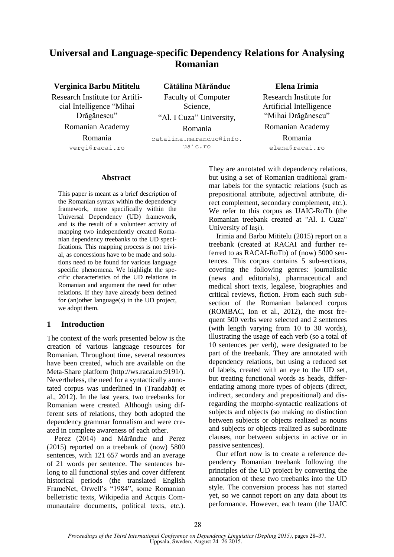# **Universal and Language-specific Dependency Relations for Analysing Romanian**

## **Verginica Barbu Mititelu**

Research Institute for Artificial Intelligence "Mihai Drăgănescu" Romanian Academy Romania vergi@racai.ro

**Cătălina Mărănduc** Faculty of Computer Science, "Al. I Cuza" University, Romania catalina.maranduc@info. uaic.ro

# **Elena Irimia**

Research Institute for Artificial Intelligence "Mihai Drăgănescu" Romanian Academy Romania elena@racai.ro

# **Abstract**

This paper is meant as a brief description of the Romanian syntax within the dependency framework, more specifically within the Universal Dependency (UD) framework, and is the result of a volunteer activity of mapping two independently created Romanian dependency treebanks to the UD specifications. This mapping process is not trivial, as concessions have to be made and solutions need to be found for various language specific phenomena. We highlight the specific characteristics of the UD relations in Romanian and argument the need for other relations. If they have already been defined for (an)other language(s) in the UD project, we adopt them.

## **1 Introduction**

The context of the work presented below is the creation of various language resources for Romanian. Throughout time, several resources have been created, which are available on the Meta-Share platform (http://ws.racai.ro:9191/). Nevertheless, the need for a syntactically annotated corpus was underlined in (Trandabăț et al., 2012). In the last years, two treebanks for Romanian were created. Although using different sets of relations, they both adopted the dependency grammar formalism and were created in complete awareness of each other.

Perez (2014) and Mărănduc and Perez (2015) reported on a treebank of (now) 5800 sentences, with 121 657 words and an average of 21 words per sentence. The sentences belong to all functional styles and cover different historical periods (the translated English FrameNet, Orwell's "1984", some Romanian belletristic texts, Wikipedia and Acquis Communautaire documents, political texts, etc.).

They are annotated with dependency relations, but using a set of Romanian traditional grammar labels for the syntactic relations (such as prepositional attribute, adjectival attribute, direct complement, secondary complement, etc.). We refer to this corpus as UAIC-RoTb (the Romanian treebank created at "Al. I. Cuza" University of Iași).

Irimia and Barbu Mititelu (2015) report on a treebank (created at RACAI and further referred to as RACAI-RoTb) of (now) 5000 sentences. This corpus contains 5 sub-sections, covering the following genres: journalistic (news and editorials), pharmaceutical and medical short texts, legalese, biographies and critical reviews, fiction. From each such subsection of the Romanian balanced corpus (ROMBAC, Ion et al., 2012), the most frequent 500 verbs were selected and 2 sentences (with length varying from 10 to 30 words), illustrating the usage of each verb (so a total of 10 sentences per verb), were designated to be part of the treebank. They are annotated with dependency relations, but using a reduced set of labels, created with an eye to the UD set, but treating functional words as heads, differentiating among more types of objects (direct, indirect, secondary and prepositional) and disregarding the morpho-syntactic realizations of subjects and objects (so making no distinction between subjects or objects realized as nouns and subjects or objects realized as subordinate clauses, nor between subjects in active or in passive sentences).

Our effort now is to create a reference dependency Romanian treebank following the principles of the UD project by converting the annotation of these two treebanks into the UD style. The conversion process has not started yet, so we cannot report on any data about its performance. However, each team (the UAIC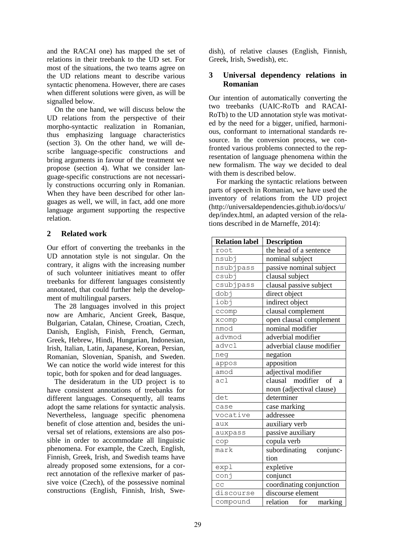and the RACAI one) has mapped the set of relations in their treebank to the UD set. For most of the situations, the two teams agree on the UD relations meant to describe various syntactic phenomena. However, there are cases when different solutions were given, as will be signalled below.

On the one hand, we will discuss below the UD relations from the perspective of their morpho-syntactic realization in Romanian, thus emphasizing language characteristics (section 3). On the other hand, we will describe language-specific constructions and bring arguments in favour of the treatment we propose (section 4). What we consider language-specific constructions are not necessarily constructions occurring only in Romanian. When they have been described for other languages as well, we will, in fact, add one more language argument supporting the respective relation.

# **2 Related work**

Our effort of converting the treebanks in the UD annotation style is not singular. On the contrary, it aligns with the increasing number of such volunteer initiatives meant to offer treebanks for different languages consistently annotated, that could further help the development of multilingual parsers.

The 28 languages involved in this project now are Amharic, Ancient Greek, Basque, Bulgarian, Catalan, Chinese, Croatian, Czech, Danish, English, Finish, French, German, Greek, Hebrew, Hindi, Hungarian, Indonesian, Irish, Italian, Latin, Japanese, Korean, Persian, Romanian, Slovenian, Spanish, and Sweden. We can notice the world wide interest for this topic, both for spoken and for dead languages.

The desideratum in the UD project is to have consistent annotations of treebanks for different languages. Consequently, all teams adopt the same relations for syntactic analysis. Nevertheless, language specific phenomena benefit of close attention and, besides the universal set of relations, extensions are also possible in order to accommodate all linguistic phenomena. For example, the Czech, English, Finnish, Greek, Irish, and Swedish teams have already proposed some extensions, for a correct annotation of the reflexive marker of passive voice (Czech), of the possessive nominal constructions (English, Finnish, Irish, Swedish), of relative clauses (English, Finnish, Greek, Irish, Swedish), etc.

# **3 Universal dependency relations in Romanian**

Our intention of automatically converting the two treebanks (UAIC-RoTb and RACAI-RoTb) to the UD annotation style was motivated by the need for a bigger, unified, harmonious, conformant to international standards resource. In the conversion process, we confronted various problems connected to the representation of language phenomena within the new formalism. The way we decided to deal with them is described below.

For marking the syntactic relations between parts of speech in Romanian, we have used the inventory of relations from the UD project (http://universaldependencies.github.io/docs/u/ dep/index.html, an adapted version of the relations described in de Marneffe, 2014):

| <b>Relation label</b> | <b>Description</b>             |
|-----------------------|--------------------------------|
| root                  | the head of a sentence         |
| nsubj                 | nominal subject                |
| nsubjpass             | passive nominal subject        |
| csubj                 | clausal subject                |
| csubjpass             | clausal passive subject        |
| dobj                  | direct object                  |
| iobj                  | indirect object                |
| ccomp                 | clausal complement             |
| xcomp                 | open clausal complement        |
| nmod                  | nominal modifier               |
| advmod                | adverbial modifier             |
| advcl                 | adverbial clause modifier      |
| neg                   | negation                       |
| appos                 | apposition                     |
| amod                  | adjectival modifier            |
| ac1                   | modifier<br>clausal<br>of<br>a |
|                       | noun (adjectival clause)       |
| det                   | determiner                     |
| case                  | case marking                   |
| vocative              | addressee                      |
| aux                   | auxiliary verb                 |
| auxpass               | passive auxiliary              |
| cop                   | copula verb                    |
| mark                  | subordinating conjunc-         |
|                       | tion                           |
| expl                  | expletive                      |
| conj                  | conjunct                       |
| CC                    | coordinating conjunction       |
| discourse             | discourse element              |
| compound              | relation for marking           |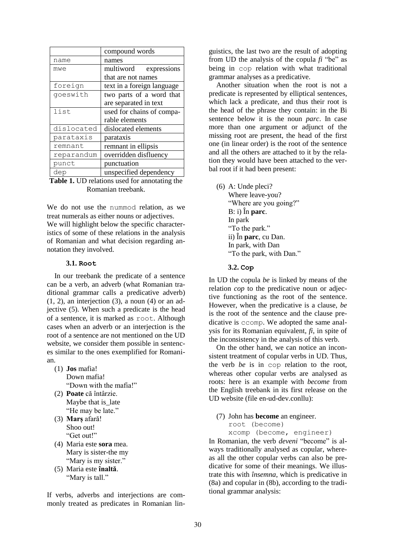|            | compound words             |
|------------|----------------------------|
| name       | names                      |
| mwe        | multiword expressions      |
|            | that are not names         |
| foreign    | text in a foreign language |
| qoeswith   | two parts of a word that   |
|            | are separated in text      |
| list       | used for chains of compa-  |
|            | rable elements             |
| dislocated | dislocated elements        |
| parataxis  | parataxis                  |
| remnant    | remnant in ellipsis        |
| reparandum | overridden disfluency      |
| punct      | punctuation                |
| dep        | unspecified dependency     |

**Table 1.** UD relations used for annotating the Romanian treebank.

We do not use the nummod relation, as we treat numerals as either nouns or adjectives. We will highlight below the specific characteristics of some of these relations in the analysis of Romanian and what decision regarding annotation they involved.

#### **3.1. Root**

In our treebank the predicate of a sentence can be a verb, an adverb (what Romanian traditional grammar calls a predicative adverb)  $(1, 2)$ , an interjection  $(3)$ , a noun  $(4)$  or an adjective (5). When such a predicate is the head of a sentence, it is marked as root. Although cases when an adverb or an interjection is the root of a sentence are not mentioned on the UD website, we consider them possible in sentences similar to the ones exemplified for Romanian.

- (1) **Jos** mafia! Down mafia! "Down with the mafia!"
- (2) **Poate** că întârzie. Maybe that is late "He may be late."
- (3) **Marș** afară! Shoo out! "Get out!"
- (4) Maria este **sora** mea. Mary is sister-the my "Mary is my sister."
- (5) Maria este **înaltă**. "Mary is tall."

If verbs, adverbs and interjections are commonly treated as predicates in Romanian linguistics, the last two are the result of adopting from UD the analysis of the copula *fi* "be" as being in cop relation with what traditional grammar analyses as a predicative.

Another situation when the root is not a predicate is represented by elliptical sentences, which lack a predicate, and thus their root is the head of the phrase they contain: in the Bi sentence below it is the noun *parc*. In case more than one argument or adjunct of the missing root are present, the head of the first one (in linear order) is the root of the sentence and all the others are attached to it by the relation they would have been attached to the verbal root if it had been present:

(6) A: Unde pleci? Where leave-you? "Where are you going?" B: i) În **parc**. In park "To the park." ii) În **parc**, cu Dan. In park, with Dan "To the park, with Dan."

#### **3.2. Cop**

In UD the copula *be* is linked by means of the relation *cop* to the predicative noun or adjective functioning as the root of the sentence. However, when the predicative is a clause, *be*  is the root of the sentence and the clause predicative is ccomp. We adopted the same analysis for its Romanian equivalent, *fi*, in spite of the inconsistency in the analysis of this verb.

On the other hand, we can notice an inconsistent treatment of copular verbs in UD. Thus, the verb *be* is in cop relation to the root, whereas other copular verbs are analysed as roots: here is an example with *become* from the English treebank in its first release on the UD website (file en-ud-dev.conllu):

- (7) John has **become** an engineer.
	- root (become)

xcomp (become, engineer)

In Romanian, the verb *deveni* "become" is always traditionally analysed as copular, whereas all the other copular verbs can also be predicative for some of their meanings. We illustrate this with *însemna*, which is predicative in (8a) and copular in (8b), according to the traditional grammar analysis: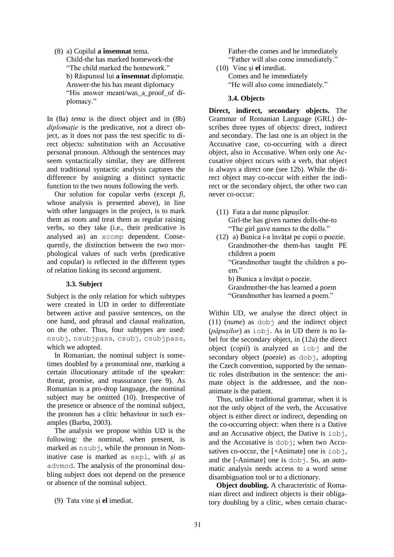# (8) a) Copilul **a însemnat** tema.

Child-the has marked homework-the "The child marked the homework." b) Răspunsul lui **a însemnat** diplomație. Answer-the his has meant diplomacy "His answer meant/was\_a\_proof\_of diplomacy."

In (8a) *tema* is the direct object and in (8b) *diplomație* is the predicative, not a direct object, as it does not pass the test specific to direct objects: substitution with an Accusative personal pronoun. Although the sentences may seem syntactically similar, they are different and traditional syntactic analysis captures the difference by assigning a distinct syntactic function to the two nouns following the verb.

Our solution for copular verbs (except *fi*, whose analysis is presented above), in line with other languages in the project, is to mark them as roots and treat them as regular raising verbs, so they take (i.e., their predicative is analysed as) an xcomp dependent. Consequently, the distinction between the two morphological values of such verbs (predicative and copular) is reflected in the different types of relation linking its second argument.

## **3.3. Subject**

Subject is the only relation for which subtypes were created in UD in order to differentiate between active and passive sentences, on the one hand, and phrasal and clausal realization, on the other. Thus, four subtypes are used: nsubj, nsubjpass, csubj, csubjpass, which we adopted.

In Romanian, the nominal subject is sometimes doubled by a pronominal one, marking a certain illocutionary attitude of the speaker: threat, promise, and reassurance (see 9). As Romanian is a pro-drop language, the nominal subject may be omitted (10). Irrespective of the presence or absence of the nominal subject, the pronoun has a clitic behaviour in such examples (Barbu, 2003).

The analysis we propose within UD is the following: the nominal, when present, is marked as nsubj, while the pronoun in Nominative case is marked as expl, with *și* as advmod. The analysis of the pronominal doubling subject does not depend on the presence or absence of the nominal subject.

(9) Tata vine și **el** imediat.

Father-the comes and he immediately "Father will also come immediately." (10) Vine și **el** imediat.

Comes and he immediately "He will also come immediately."

# **3.4. Objects**

**Direct, indirect, secondary objects.** The Grammar of Romanian Language (GRL) describes three types of objects: direct, indirect and secondary. The last one is an object in the Accusative case, co-occurring with a direct object, also in Accusative. When only one Accusative object occurs with a verb, that object is always a direct one (see 12b). While the direct object may co-occur with either the indirect or the secondary object, the other two can never co-occur:

(11) Fata a dat nume păpușilor. Girl-the has given names dolls-the-to "The girl gave names to the dolls."

(12) a) Bunica i-a învățat pe copii o poezie. Grandmother-the them-has taught PE children a poem "Grandmother taught the children a poem."

b) Bunica a învățat o poezie.

Grandmother-the has learned a poem

"Grandmother has learned a poem."

Within UD, we analyse the direct object in (11) (*nume*) as dobj and the indirect object (*păpușilor*) as iobj. As in UD there is no label for the secondary object, in (12a) the direct object (*copii*) is analyzed as iobj and the secondary object (*poezie*) as dobj, adopting the Czech convention, supported by the semantic roles distribution in the sentence: the animate object is the addressee, and the nonanimate is the patient.

Thus, unlike traditional grammar, when it is not the only object of the verb, the Accusative object is either direct or indirect, depending on the co-occurring object: when there is a Dative and an Accusative object, the Dative is iobj, and the Accusative is dobj; when two Accusatives co-occur, the [+Animate] one is iobj, and the [-Animate] one is dobj. So, an automatic analysis needs access to a word sense disambiguation tool or to a dictionary.

**Object doubling.** A characteristic of Romanian direct and indirect objects is their obligatory doubling by a clitic, when certain charac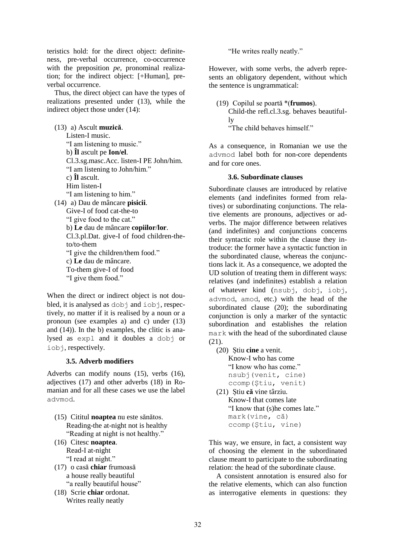teristics hold: for the direct object: definiteness, pre-verbal occurrence, co-occurrence with the preposition *pe*, pronominal realization; for the indirect object: [+Human], preverbal occurrence.

Thus, the direct object can have the types of realizations presented under (13), while the indirect object those under (14):

(13) a) Ascult **muzică**. Listen-I music. "I am listening to music." b) **Îl** ascult pe **Ion/el**. Cl.3.sg.masc.Acc. listen-I PE John/him. "I am listening to John/him." c) **Îl** ascult. Him listen-I "I am listening to him." (14) a) Dau de mâncare **pisicii**. Give-I of food cat-the-to "I give food to the cat." b) **Le** dau de mâncare **copiilor**/**lor**. Cl.3.pl.Dat. give-I of food children-theto/to-them "I give the children/them food." c) **Le** dau de mâncare. To-them give-I of food "I give them food."

When the direct or indirect object is not doubled, it is analysed as dobj and iobj, respectively, no matter if it is realised by a noun or a pronoun (see examples a) and c) under (13) and (14)). In the b) examples, the clitic is analysed as expl and it doubles a dobj or iob<sub>j</sub>, respectively.

## **3.5. Adverb modifiers**

Adverbs can modify nouns (15), verbs (16), adjectives (17) and other adverbs (18) in Romanian and for all these cases we use the label advmod.

- (15) Cititul **noaptea** nu este sănătos. Reading-the at-night not is healthy "Reading at night is not healthy."
- (16) Citesc **noaptea**. Read-I at-night "I read at night."
- (17) o casă **chiar** frumoasă a house really beautiful "a really beautiful house"
- (18) Scrie **chiar** ordonat. Writes really neatly

"He writes really neatly."

However, with some verbs, the adverb represents an obligatory dependent, without which the sentence is ungrammatical:

(19) Copilul se poartă \*(**frumos**). Child-the refl.cl.3.sg. behaves beautifully "The child behaves himself."

As a consequence, in Romanian we use the advmod label both for non-core dependents and for core ones.

#### **3.6. Subordinate clauses**

Subordinate clauses are introduced by relative elements (and indefinites formed from relatives) or subordinating conjunctions. The relative elements are pronouns, adjectives or adverbs. The major difference between relatives (and indefinites) and conjunctions concerns their syntactic role within the clause they introduce: the former have a syntactic function in the subordinated clause, whereas the conjunctions lack it. As a consequence, we adopted the UD solution of treating them in different ways: relatives (and indefinites) establish a relation of whatever kind (nsubj, dobj, iobj, advmod, amod, etc.) with the head of the subordinated clause (20); the subordinating conjunction is only a marker of the syntactic subordination and establishes the relation mark with the head of the subordinated clause (21).

(20) Știu **cine** a venit. Know-I who has come

"I know who has come." nsubj(venit, cine)

ccomp(Știu, venit)

(21) Știu **că** vine târziu. Know-I that comes late "I know that (s)he comes late." mark(vine, că) ccomp(Știu, vine)

This way, we ensure, in fact, a consistent way of choosing the element in the subordinated clause meant to participate to the subordinating relation: the head of the subordinate clause.

A consistent annotation is ensured also for the relative elements, which can also function as interrogative elements in questions: they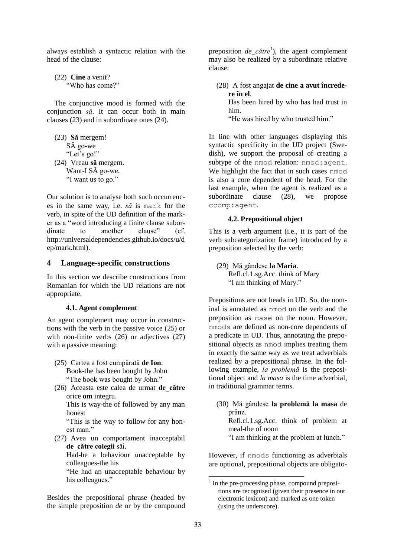always establish a syntactic relation with the head of the clause:

(22) **Cine** a venit? "Who has come?"

The conjunctive mood is formed with the conjunction *să*. It can occur both in main clauses (23) and in subordinate ones (24).

(23) **Să** mergem! SĂ go-we "Let's go!" (24) Vreau **să** mergem. Want-I SĂ go-we. "I want us to go."

Our solution is to analyse both such occurrences in the same way, i.e. *să* is mark for the verb, in spite of the UD definition of the marker as a "word introducing a finite clause subordinate to another clause" (cf. http://universaldependencies.github.io/docs/u/d ep/mark.html).

## **4 Language-specific constructions**

In this section we describe constructions from Romanian for which the UD relations are not appropriate.

#### **4.1. Agent complement**

An agent complement may occur in constructions with the verb in the passive voice (25) or with non-finite verbs (26) or adjectives (27) with a passive meaning:

- (25) Cartea a fost cumpărată **de Ion**. Book-the has been bought by John "The book was bought by John."
- (26) Aceasta este calea de urmat **de\_către** orice **om** integru.

This is way-the of followed by any man honest

"This is the way to follow for any honest man."

(27) Avea un comportament inacceptabil **de\_către colegii** săi.

Had-he a behaviour unacceptable by colleagues-the his

"He had an unacceptable behaviour by his colleagues."

Besides the prepositional phrase (headed by the simple preposition *de* or by the compound preposition *de\_către<sup>1</sup>* ), the agent complement may also be realized by a subordinate relative clause:

(28) A fost angajat **de cine a avut încredere în el**.

Has been hired by who has had trust in him.

"He was hired by who trusted him."

In line with other languages displaying this syntactic specificity in the UD project (Swedish), we support the proposal of creating a subtype of the nmod relation: nmod:agent. We highlight the fact that in such cases nmod is also a core dependent of the head. For the last example, when the agent is realized as a subordinate clause (28), we propose ccomp:agent.

#### **4.2. Prepositional object**

This is a verb argument (i.e., it is part of the verb subcategorization frame) introduced by a preposition selected by the verb:

(29) Mă gândesc **la Maria**. Refl.cl.1.sg.Acc. think of Mary "I am thinking of Mary."

Prepositions are not heads in UD. So, the nominal is annotated as nmod on the verb and the preposition as case on the noun. However, nmods are defined as non-core dependents of a predicate in UD. Thus, annotating the prepositional objects as nmod implies treating them in exactly the same way as we treat adverbials realized by a prepositional phrase. In the following example, *la problemă* is the prepositional object and *la masa* is the time adverbial, in traditional grammar terms.

(30) Mă gândesc **la problemă la masa** de prânz.

Refl.cl.1.sg.Acc. think of problem at meal-the of noon

"I am thinking at the problem at lunch."

However, if nmods functioning as adverbials are optional, prepositional objects are obligato-

 1 In the pre-processing phase, compound prepositions are recognised (given their presence in our electronic lexicon) and marked as one token (using the underscore).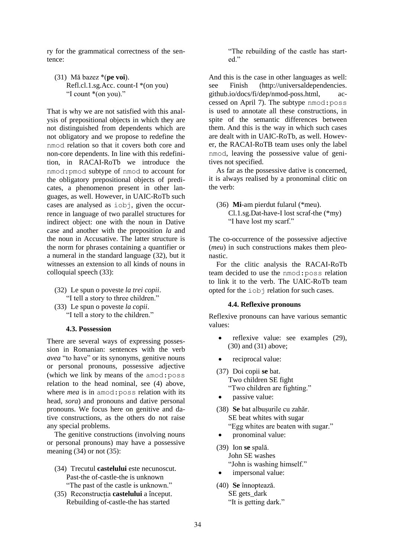ry for the grammatical correctness of the sentence:

(31) Mă bazez \*(**pe voi**). Refl.cl.1.sg.Acc. count- $I^*(on you)$ "I count \*(on you)."

That is why we are not satisfied with this analysis of prepositional objects in which they are not distinguished from dependents which are not obligatory and we propose to redefine the nmod relation so that it covers both core and non-core dependents. In line with this redefinition, in RACAI-RoTb we introduce the nmod:pmod subtype of nmod to account for the obligatory prepositional objects of predicates, a phenomenon present in other languages, as well. However, in UAIC-RoTb such cases are analysed as iobj, given the occurrence in language of two parallel structures for indirect object: one with the noun in Dative case and another with the preposition *la* and the noun in Accusative. The latter structure is the norm for phrases containing a quantifier or a numeral in the standard language (32), but it witnesses an extension to all kinds of nouns in colloquial speech (33):

(32) Le spun o poveste *la trei copii*. "I tell a story to three children." (33) Le spun o poveste *la copii*.

"I tell a story to the children."

#### **4.3. Possession**

There are several ways of expressing possession in Romanian: sentences with the verb *avea* "to have" or its synonyms, genitive nouns or personal pronouns, possessive adjective (which we link by means of the amod:poss relation to the head nominal, see (4) above, where *mea* is in amod:poss relation with its head, *sora*) and pronouns and dative personal pronouns. We focus here on genitive and dative constructions, as the others do not raise any special problems.

The genitive constructions (involving nouns or personal pronouns) may have a possessive meaning  $(34)$  or not  $(35)$ :

- (34) Trecutul **castelului** este necunoscut. Past-the of-castle-the is unknown "The past of the castle is unknown."
- (35) Reconstrucția **castelului** a început. Rebuilding of-castle-the has started

"The rebuilding of the castle has started."

And this is the case in other languages as well: see Finish (http://universaldependencies. github.io/docs/fi/dep/nmod-poss.html, accessed on April 7). The subtype nmod:poss is used to annotate all these constructions, in spite of the semantic differences between them. And this is the way in which such cases are dealt with in UAIC-RoTb, as well. However, the RACAI-RoTB team uses only the label nmod, leaving the possessive value of genitives not specified.

As far as the possessive dative is concerned, it is always realised by a pronominal clitic on the verb:

(36) **Mi**-am pierdut fularul (\*meu). Cl.1.sg.Dat-have-I lost scraf-the (\*my) "I have lost my scarf."

The co-occurrence of the possessive adjective (*meu*) in such constructions makes them pleonastic.

For the clitic analysis the RACAI-RoTb team decided to use the nmod:poss relation to link it to the verb. The UAIC-RoTb team opted for the iobj relation for such cases.

#### **4.4. Reflexive pronouns**

Reflexive pronouns can have various semantic values:

- reflexive value: see examples (29), (30) and (31) above;
- reciprocal value:
- (37) Doi copii **se** bat. Two children SE fight "Two children are fighting."
- passive value:
- (38) **Se** bat albușurile cu zahăr. SE beat whites with sugar "Egg whites are beaten with sugar."
- pronominal value:
- (39) Ion **se** spală. John SE washes "John is washing himself."
- impersonal value:
- (40) **Se** înnoptează. SE gets\_dark "It is getting dark."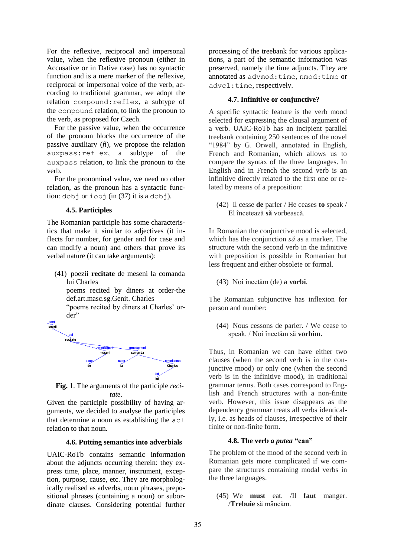For the reflexive, reciprocal and impersonal value, when the reflexive pronoun (either in Accusative or in Dative case) has no syntactic function and is a mere marker of the reflexive, reciprocal or impersonal voice of the verb, according to traditional grammar, we adopt the relation compound:reflex, a subtype of the compound relation, to link the pronoun to the verb, as proposed for Czech.

For the passive value, when the occurrence of the pronoun blocks the occurrence of the passive auxiliary (*fi*), we propose the relation auxpass:reflex, a subtype of the auxpass relation, to link the pronoun to the verb.

For the pronominal value, we need no other relation, as the pronoun has a syntactic function:  $dobj$  or  $iobj$  (in (37) it is a  $dobj$ ).

#### **4.5. Participles**

The Romanian participle has some characteristics that make it similar to adjectives (it inflects for number, for gender and for case and can modify a noun) and others that prove its verbal nature (it can take arguments):

(41) poezii **recitate** de meseni la comanda lui Charles

poems recited by diners at order-the def.art.masc.sg.Genit. Charles

"poems recited by diners at Charles' order"



**Fig. 1**. The arguments of the participle *recitate*.

Given the participle possibility of having arguments, we decided to analyse the participles that determine a noun as establishing the acl relation to that noun.

#### **4.6. Putting semantics into adverbials**

UAIC-RoTb contains semantic information about the adjuncts occurring therein: they express time, place, manner, instrument, exception, purpose, cause, etc. They are morphologically realised as adverbs, noun phrases, prepositional phrases (containing a noun) or subordinate clauses. Considering potential further

processing of the treebank for various applications, a part of the semantic information was preserved, namely the time adjuncts. They are annotated as advmod:time, nmod:time or advcl:time, respectively.

#### **4.7. Infinitive or conjunctive?**

A specific syntactic feature is the verb mood selected for expressing the clausal argument of a verb. UAIC-RoTb has an incipient parallel treebank containing 250 sentences of the novel "1984" by G. Orwell, annotated in English, French and Romanian, which allows us to compare the syntax of the three languages. In English and in French the second verb is an infinitive directly related to the first one or related by means of a preposition:

(42) Il cesse **de** parler / He ceases **to** speak / El încetează **să** vorbească.

In Romanian the conjunctive mood is selected, which has the conjunction *să* as a marker. The structure with the second verb in the infinitive with preposition is possible in Romanian but less frequent and either obsolete or formal.

(43) Noi încetăm (de) **a vorbi**.

The Romanian subjunctive has inflexion for person and number:

(44) Nous cessons de parler. / We cease to speak. / Noi încetăm să **vorbim.**

Thus, in Romanian we can have either two clauses (when the second verb is in the conjunctive mood) or only one (when the second verb is in the infinitive mood), in traditional grammar terms. Both cases correspond to English and French structures with a non-finite verb. However, this issue disappears as the dependency grammar treats all verbs identically, i.e. as heads of clauses, irrespective of their finite or non-finite form.

## **4.8. The verb** *a putea* **"can"**

The problem of the mood of the second verb in Romanian gets more complicated if we compare the structures containing modal verbs in the three languages.

(45) We **must** eat. /Il **faut** manger. /**Trebuie** să mâncăm.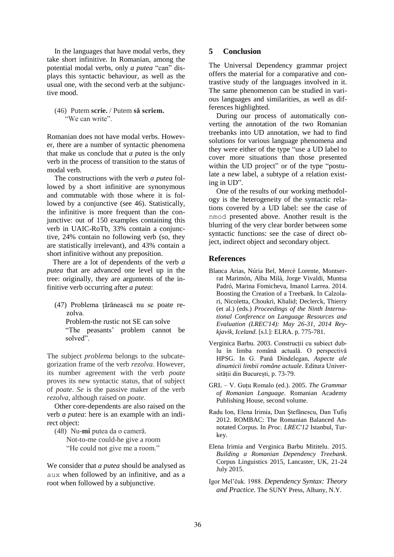In the languages that have modal verbs, they take short infinitive. In Romanian, among the potential modal verbs, only *a putea* "can" displays this syntactic behaviour, as well as the usual one, with the second verb at the subjunctive mood.

(46) Putem **scrie.** / Putem **să scriem.** "We can write".

Romanian does not have modal verbs. However, there are a number of syntactic phenomena that make us conclude that *a putea* is the only verb in the process of transition to the status of modal verb.

The constructions with the verb *a putea* followed by a short infinitive are synonymous and commutable with those where it is followed by a conjunctive (see 46). Statistically, the infinitive is more frequent than the conjunctive: out of 150 examples containing this verb in UAIC-RoTb, 33% contain a conjunctive, 24% contain no following verb (so, they are statistically irrelevant), and 43% contain a short infinitive without any preposition.

There are a lot of dependents of the verb *a putea* that are advanced one level up in the tree: originally, they are arguments of the infinitive verb occurring after *a putea*:

(47) Problema țărănească nu se poate rezolva.

Problem-the rustic not SE can solve "The peasants' problem cannot be solved".

The subject *problema* belongs to the subcategorization frame of the verb *rezolva*. However, its number agreement with the verb *poate*  proves its new syntactic status, that of subject of *poate*. *Se* is the passive maker of the verb *rezolva*, although raised on *poate*.

Other core-dependents are also raised on the verb *a putea*: here is an example with an indirect object:

(48) Nu-**mi** putea da o cameră. Not-to-me could-he give a room "He could not give me a room."

We consider that *a putea* should be analysed as aux when followed by an infinitive, and as a root when followed by a subjunctive.

# **5 Conclusion**

The Universal Dependency grammar project offers the material for a comparative and contrastive study of the languages involved in it. The same phenomenon can be studied in various languages and similarities, as well as differences highlighted.

During our process of automatically converting the annotation of the two Romanian treebanks into UD annotation, we had to find solutions for various language phenomena and they were either of the type "use a UD label to cover more situations than those presented within the UD project" or of the type "postulate a new label, a subtype of a relation existing in UD".

One of the results of our working methodology is the heterogeneity of the syntactic relations covered by a UD label: see the case of nmod presented above. Another result is the blurring of the very clear border between some syntactic functions: see the case of direct object, indirect object and secondary object.

# **References**

- Blanca Arias, Núria Bel, Mercè Lorente, Montserrat Marimón, Alba Milà, Jorge Vivaldi, Muntsa Padró, Marina Fomicheva, Imanol Larrea. 2014. Boosting the Creation of a Treebank. In Calzolari, Nicoletta, Choukri, Khalid; Declerck, Thierry (et al.) (eds.) *Proceedings of the Ninth International Conference on Language Resources and Evaluation (LREC'14): May 26-31, 2014 Reykjavik, Iceland*. [s.l.]: ELRA. p. 775-781.
- Verginica Barbu. 2003. Construcții cu subiect dublu în limba română actuală. O perspectivă HPSG. In G. Pană Dindelegan, *Aspecte ale dinamicii limbii române actuale*. Editura Universității din București, p. 73-79.
- GRL V. Guțu Romalo (ed.). 2005. *The Grammar of Romanian Language*. Romanian Academy Publishing House, second volume.
- Radu Ion, Elena Irimia, Dan Ștefănescu, Dan Tufiș 2012. ROMBAC: The Romanian Balanced Annotated Corpus. In *Proc. LREC'12* Istanbul, Turkey.
- Elena Irimia and Verginica Barbu Mititelu. 2015. *Building a Romanian Dependency Treebank*. Corpus Linguistics 2015, Lancaster, UK, 21-24 July 2015.
- Igor Mel'čuk. 1988. *Dependency Syntax: Theory and Practice.* The SUNY Press, Albany, N.Y.